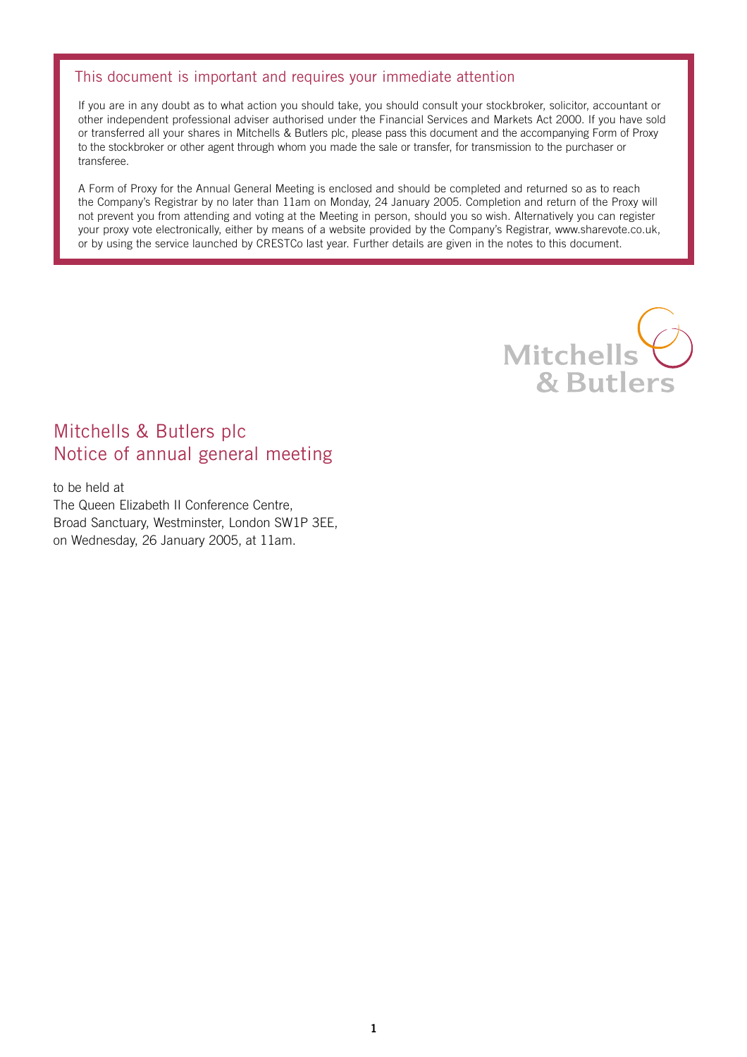# This document is important and requires your immediate attention

If you are in any doubt as to what action you should take, you should consult your stockbroker, solicitor, accountant or other independent professional adviser authorised under the Financial Services and Markets Act 2000. If you have sold or transferred all your shares in Mitchells & Butlers plc, please pass this document and the accompanying Form of Proxy to the stockbroker or other agent through whom you made the sale or transfer, for transmission to the purchaser or transferee.

A Form of Proxy for the Annual General Meeting is enclosed and should be completed and returned so as to reach the Company's Registrar by no later than 11am on Monday, 24 January 2005. Completion and return of the Proxy will not prevent you from attending and voting at the Meeting in person, should you so wish. Alternatively you can register your proxy vote electronically, either by means of a website provided by the Company's Registrar, www.sharevote.co.uk, or by using the service launched by CRESTCo last year. Further details are given in the notes to this document.



# Mitchells & Butlers plc Notice of annual general meeting

to be held at The Queen Elizabeth II Conference Centre, Broad Sanctuary, Westminster, London SW1P 3EE, on Wednesday, 26 January 2005, at 11am.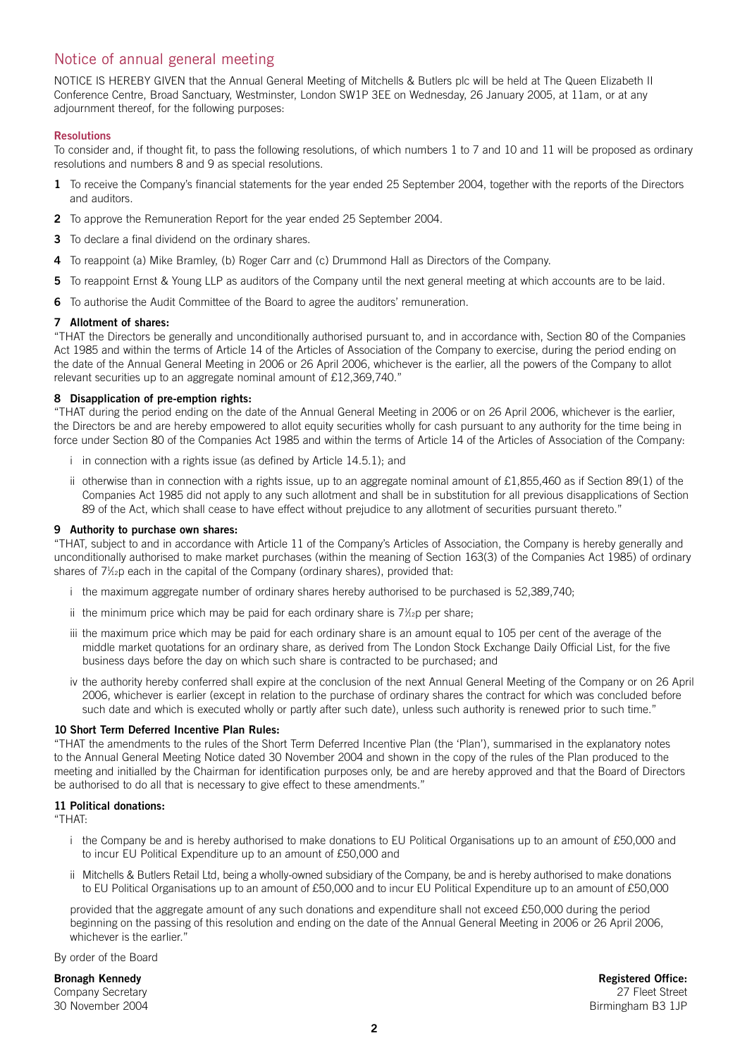# Notice of annual general meeting

NOTICE IS HEREBY GIVEN that the Annual General Meeting of Mitchells & Butlers plc will be held at The Queen Elizabeth II Conference Centre, Broad Sanctuary, Westminster, London SW1P 3EE on Wednesday, 26 January 2005, at 11am, or at any adjournment thereof, for the following purposes:

# **Resolutions**

To consider and, if thought fit, to pass the following resolutions, of which numbers 1 to 7 and 10 and 11 will be proposed as ordinary resolutions and numbers 8 and 9 as special resolutions.

- **1** To receive the Company's financial statements for the year ended 25 September 2004, together with the reports of the Directors and auditors.
- **2** To approve the Remuneration Report for the year ended 25 September 2004.
- **3** To declare a final dividend on the ordinary shares.
- **4** To reappoint (a) Mike Bramley, (b) Roger Carr and (c) Drummond Hall as Directors of the Company.
- **5** To reappoint Ernst & Young LLP as auditors of the Company until the next general meeting at which accounts are to be laid.
- **6** To authorise the Audit Committee of the Board to agree the auditors' remuneration.

# **7 Allotment of shares:**

"THAT the Directors be generally and unconditionally authorised pursuant to, and in accordance with, Section 80 of the Companies Act 1985 and within the terms of Article 14 of the Articles of Association of the Company to exercise, during the period ending on the date of the Annual General Meeting in 2006 or 26 April 2006, whichever is the earlier, all the powers of the Company to allot relevant securities up to an aggregate nominal amount of £12,369,740."

# **8 Disapplication of pre-emption rights:**

"THAT during the period ending on the date of the Annual General Meeting in 2006 or on 26 April 2006, whichever is the earlier, the Directors be and are hereby empowered to allot equity securities wholly for cash pursuant to any authority for the time being in force under Section 80 of the Companies Act 1985 and within the terms of Article 14 of the Articles of Association of the Company:

- i in connection with a rights issue (as defined by Article 14.5.1); and
- ii otherwise than in connection with a rights issue, up to an aggregate nominal amount of £1,855,460 as if Section 89(1) of the Companies Act 1985 did not apply to any such allotment and shall be in substitution for all previous disapplications of Section 89 of the Act, which shall cease to have effect without prejudice to any allotment of securities pursuant thereto."

#### **9 Authority to purchase own shares:**

"THAT, subject to and in accordance with Article 11 of the Company's Articles of Association, the Company is hereby generally and unconditionally authorised to make market purchases (within the meaning of Section 163(3) of the Companies Act 1985) of ordinary shares of 7½p each in the capital of the Company (ordinary shares), provided that:

- i the maximum aggregate number of ordinary shares hereby authorised to be purchased is 52,389,740;
- ii the minimum price which may be paid for each ordinary share is  $7\frac{1}{2}$ p per share;
- iii the maximum price which may be paid for each ordinary share is an amount equal to 105 per cent of the average of the middle market quotations for an ordinary share, as derived from The London Stock Exchange Daily Official List, for the five business days before the day on which such share is contracted to be purchased; and
- iv the authority hereby conferred shall expire at the conclusion of the next Annual General Meeting of the Company or on 26 April 2006, whichever is earlier (except in relation to the purchase of ordinary shares the contract for which was concluded before such date and which is executed wholly or partly after such date), unless such authority is renewed prior to such time."

# **10 Short Term Deferred Incentive Plan Rules:**

"THAT the amendments to the rules of the Short Term Deferred Incentive Plan (the 'Plan'), summarised in the explanatory notes to the Annual General Meeting Notice dated 30 November 2004 and shown in the copy of the rules of the Plan produced to the meeting and initialled by the Chairman for identification purposes only, be and are hereby approved and that the Board of Directors be authorised to do all that is necessary to give effect to these amendments."

# **11 Political donations:**

"THAT:

- i the Company be and is hereby authorised to make donations to EU Political Organisations up to an amount of £50,000 and to incur EU Political Expenditure up to an amount of £50,000 and
- ii Mitchells & Butlers Retail Ltd, being a wholly-owned subsidiary of the Company, be and is hereby authorised to make donations to EU Political Organisations up to an amount of £50,000 and to incur EU Political Expenditure up to an amount of £50,000

provided that the aggregate amount of any such donations and expenditure shall not exceed £50,000 during the period beginning on the passing of this resolution and ending on the date of the Annual General Meeting in 2006 or 26 April 2006, whichever is the earlier."

By order of the Board

**Bronagh Kennedy Registered Office:** Company Secretary 27 Fleet Street 30 November 2004 Birmingham B3 1JP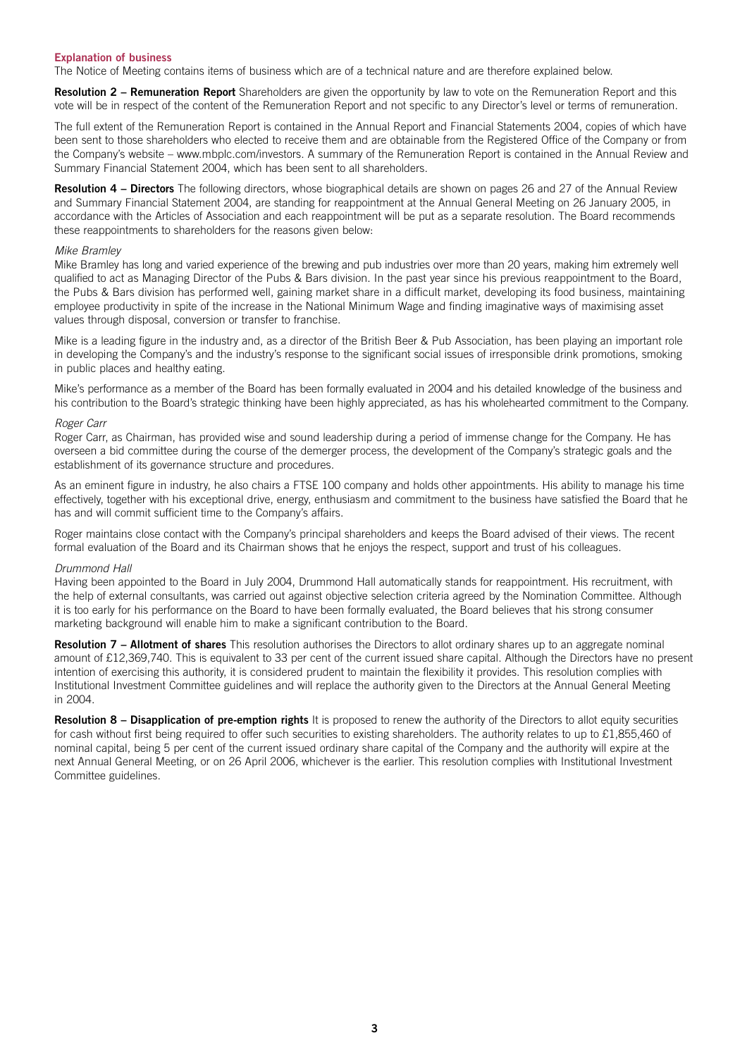# **Explanation of business**

The Notice of Meeting contains items of business which are of a technical nature and are therefore explained below.

**Resolution 2 – Remuneration Report** Shareholders are given the opportunity by law to vote on the Remuneration Report and this vote will be in respect of the content of the Remuneration Report and not specific to any Director's level or terms of remuneration.

The full extent of the Remuneration Report is contained in the Annual Report and Financial Statements 2004, copies of which have been sent to those shareholders who elected to receive them and are obtainable from the Registered Office of the Company or from the Company's website – www.mbplc.com/investors. A summary of the Remuneration Report is contained in the Annual Review and Summary Financial Statement 2004, which has been sent to all shareholders.

**Resolution 4 – Directors** The following directors, whose biographical details are shown on pages 26 and 27 of the Annual Review and Summary Financial Statement 2004, are standing for reappointment at the Annual General Meeting on 26 January 2005, in accordance with the Articles of Association and each reappointment will be put as a separate resolution. The Board recommends these reappointments to shareholders for the reasons given below:

#### *Mike Bramley*

Mike Bramley has long and varied experience of the brewing and pub industries over more than 20 years, making him extremely well qualified to act as Managing Director of the Pubs & Bars division. In the past year since his previous reappointment to the Board, the Pubs & Bars division has performed well, gaining market share in a difficult market, developing its food business, maintaining employee productivity in spite of the increase in the National Minimum Wage and finding imaginative ways of maximising asset values through disposal, conversion or transfer to franchise.

Mike is a leading figure in the industry and, as a director of the British Beer & Pub Association, has been playing an important role in developing the Company's and the industry's response to the significant social issues of irresponsible drink promotions, smoking in public places and healthy eating.

Mike's performance as a member of the Board has been formally evaluated in 2004 and his detailed knowledge of the business and his contribution to the Board's strategic thinking have been highly appreciated, as has his wholehearted commitment to the Company.

# *Roger Carr*

Roger Carr, as Chairman, has provided wise and sound leadership during a period of immense change for the Company. He has overseen a bid committee during the course of the demerger process, the development of the Company's strategic goals and the establishment of its governance structure and procedures.

As an eminent figure in industry, he also chairs a FTSE 100 company and holds other appointments. His ability to manage his time effectively, together with his exceptional drive, energy, enthusiasm and commitment to the business have satisfied the Board that he has and will commit sufficient time to the Company's affairs.

Roger maintains close contact with the Company's principal shareholders and keeps the Board advised of their views. The recent formal evaluation of the Board and its Chairman shows that he enjoys the respect, support and trust of his colleagues.

#### *Drummond Hall*

Having been appointed to the Board in July 2004, Drummond Hall automatically stands for reappointment. His recruitment, with the help of external consultants, was carried out against objective selection criteria agreed by the Nomination Committee. Although it is too early for his performance on the Board to have been formally evaluated, the Board believes that his strong consumer marketing background will enable him to make a significant contribution to the Board.

**Resolution 7 – Allotment of shares** This resolution authorises the Directors to allot ordinary shares up to an aggregate nominal amount of £12,369,740. This is equivalent to 33 per cent of the current issued share capital. Although the Directors have no present intention of exercising this authority, it is considered prudent to maintain the flexibility it provides. This resolution complies with Institutional Investment Committee guidelines and will replace the authority given to the Directors at the Annual General Meeting in 2004.

Resolution 8 - Disapplication of pre-emption rights It is proposed to renew the authority of the Directors to allot equity securities for cash without first being required to offer such securities to existing shareholders. The authority relates to up to £1,855,460 of nominal capital, being 5 per cent of the current issued ordinary share capital of the Company and the authority will expire at the next Annual General Meeting, or on 26 April 2006, whichever is the earlier. This resolution complies with Institutional Investment Committee guidelines.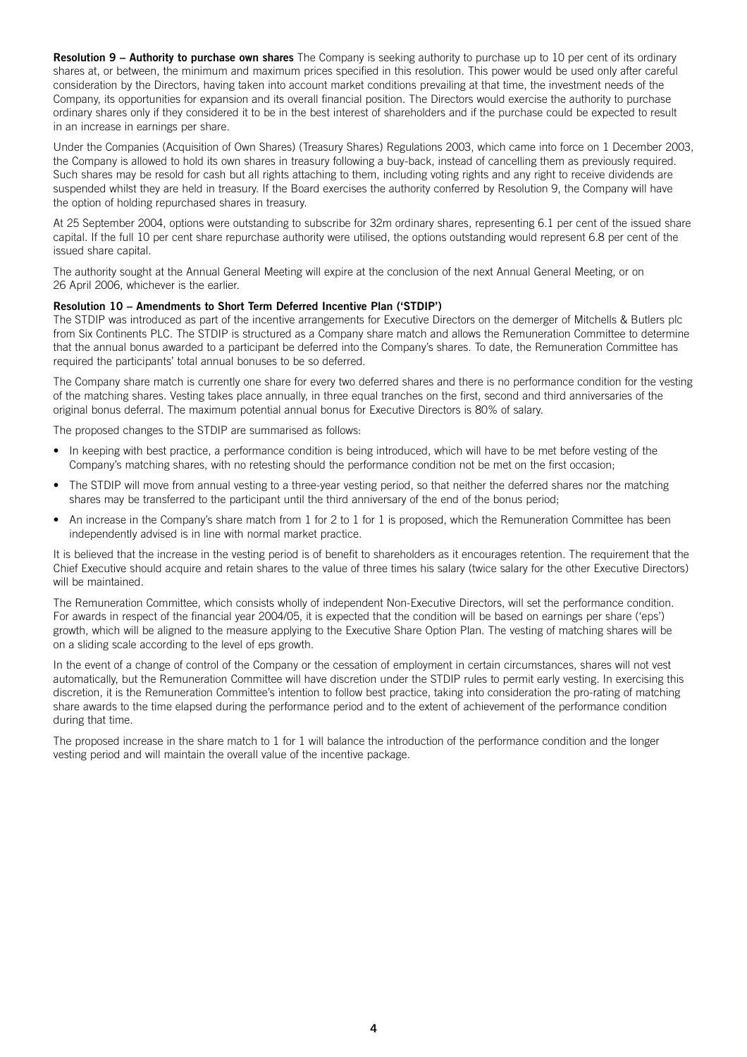**Resolution 9 – Authority to purchase own shares** The Company is seeking authority to purchase up to 10 per cent of its ordinary shares at, or between, the minimum and maximum prices specified in this resolution. This power would be used only after careful consideration by the Directors, having taken into account market conditions prevailing at that time, the investment needs of the Company, its opportunities for expansion and its overall financial position. The Directors would exercise the authority to purchase ordinary shares only if they considered it to be in the best interest of shareholders and if the purchase could be expected to result in an increase in earnings per share.

Under the Companies (Acquisition of Own Shares) (Treasury Shares) Regulations 2003, which came into force on 1 December 2003, the Company is allowed to hold its own shares in treasury following a buy-back, instead of cancelling them as previously required. Such shares may be resold for cash but all rights attaching to them, including voting rights and any right to receive dividends are suspended whilst they are held in treasury. If the Board exercises the authority conferred by Resolution 9, the Company will have the option of holding repurchased shares in treasury.

At 25 September 2004, options were outstanding to subscribe for 32m ordinary shares, representing 6.1 per cent of the issued share capital. If the full 10 per cent share repurchase authority were utilised, the options outstanding would represent 6.8 per cent of the issued share capital.

The authority sought at the Annual General Meeting will expire at the conclusion of the next Annual General Meeting, or on 26 April 2006, whichever is the earlier.

# **Resolution 10 – Amendments to Short Term Deferred Incentive Plan ('STDIP')**

The STDIP was introduced as part of the incentive arrangements for Executive Directors on the demerger of Mitchells & Butlers plc from Six Continents PLC. The STDIP is structured as a Company share match and allows the Remuneration Committee to determine that the annual bonus awarded to a participant be deferred into the Company's shares. To date, the Remuneration Committee has required the participants' total annual bonuses to be so deferred.

The Company share match is currently one share for every two deferred shares and there is no performance condition for the vesting of the matching shares. Vesting takes place annually, in three equal tranches on the first, second and third anniversaries of the original bonus deferral. The maximum potential annual bonus for Executive Directors is 80% of salary.

The proposed changes to the STDIP are summarised as follows:

- In keeping with best practice, a performance condition is being introduced, which will have to be met before vesting of the Company's matching shares, with no retesting should the performance condition not be met on the first occasion;
- The STDIP will move from annual vesting to a three-year vesting period, so that neither the deferred shares nor the matching shares may be transferred to the participant until the third anniversary of the end of the bonus period;
- An increase in the Company's share match from 1 for 2 to 1 for 1 is proposed, which the Remuneration Committee has been independently advised is in line with normal market practice.

It is believed that the increase in the vesting period is of benefit to shareholders as it encourages retention. The requirement that the Chief Executive should acquire and retain shares to the value of three times his salary (twice salary for the other Executive Directors) will be maintained.

The Remuneration Committee, which consists wholly of independent Non-Executive Directors, will set the performance condition. For awards in respect of the financial year 2004/05, it is expected that the condition will be based on earnings per share ('eps') growth, which will be aligned to the measure applying to the Executive Share Option Plan. The vesting of matching shares will be on a sliding scale according to the level of eps growth.

In the event of a change of control of the Company or the cessation of employment in certain circumstances, shares will not vest automatically, but the Remuneration Committee will have discretion under the STDIP rules to permit early vesting. In exercising this discretion, it is the Remuneration Committee's intention to follow best practice, taking into consideration the pro-rating of matching share awards to the time elapsed during the performance period and to the extent of achievement of the performance condition during that time.

The proposed increase in the share match to 1 for 1 will balance the introduction of the performance condition and the longer vesting period and will maintain the overall value of the incentive package.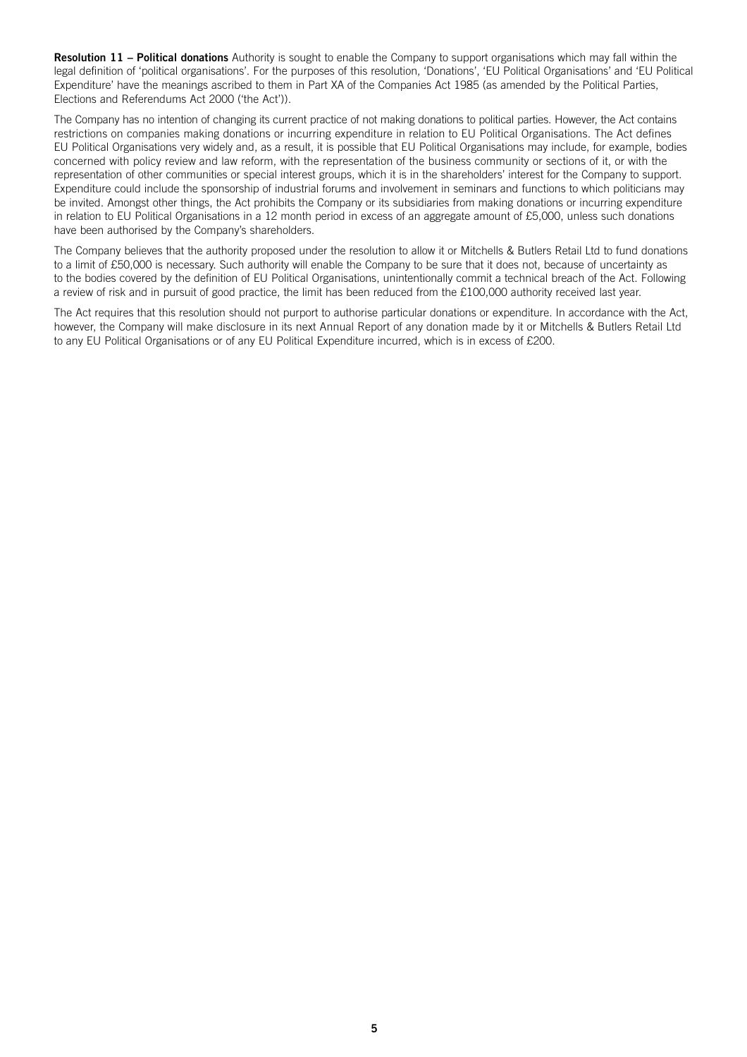**Resolution 11 – Political donations** Authority is sought to enable the Company to support organisations which may fall within the legal definition of 'political organisations'. For the purposes of this resolution, 'Donations', 'EU Political Organisations' and 'EU Political Expenditure' have the meanings ascribed to them in Part XA of the Companies Act 1985 (as amended by the Political Parties, Elections and Referendums Act 2000 ('the Act')).

The Company has no intention of changing its current practice of not making donations to political parties. However, the Act contains restrictions on companies making donations or incurring expenditure in relation to EU Political Organisations. The Act defines EU Political Organisations very widely and, as a result, it is possible that EU Political Organisations may include, for example, bodies concerned with policy review and law reform, with the representation of the business community or sections of it, or with the representation of other communities or special interest groups, which it is in the shareholders' interest for the Company to support. Expenditure could include the sponsorship of industrial forums and involvement in seminars and functions to which politicians may be invited. Amongst other things, the Act prohibits the Company or its subsidiaries from making donations or incurring expenditure in relation to EU Political Organisations in a 12 month period in excess of an aggregate amount of £5,000, unless such donations have been authorised by the Company's shareholders.

The Company believes that the authority proposed under the resolution to allow it or Mitchells & Butlers Retail Ltd to fund donations to a limit of £50,000 is necessary. Such authority will enable the Company to be sure that it does not, because of uncertainty as to the bodies covered by the definition of EU Political Organisations, unintentionally commit a technical breach of the Act. Following a review of risk and in pursuit of good practice, the limit has been reduced from the £100,000 authority received last year.

The Act requires that this resolution should not purport to authorise particular donations or expenditure. In accordance with the Act, however, the Company will make disclosure in its next Annual Report of any donation made by it or Mitchells & Butlers Retail Ltd to any EU Political Organisations or of any EU Political Expenditure incurred, which is in excess of £200.